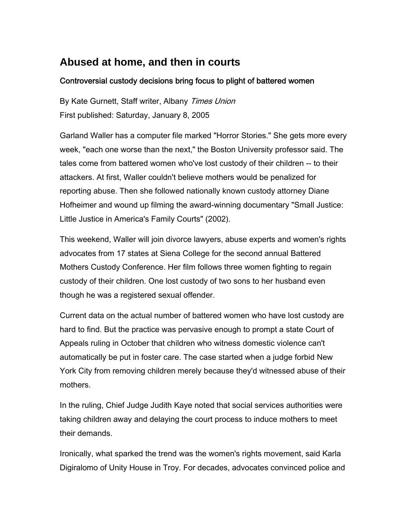## **Abused at home, and then in courts**

## Controversial custody decisions bring focus to plight of battered women

By Kate Gurnett, Staff writer, Albany Times Union First published: Saturday, January 8, 2005

Garland Waller has a computer file marked "Horror Stories." She gets more every week, "each one worse than the next," the Boston University professor said. The tales come from battered women who've lost custody of their children -- to their attackers. At first, Waller couldn't believe mothers would be penalized for reporting abuse. Then she followed nationally known custody attorney Diane Hofheimer and wound up filming the award-winning documentary "Small Justice: Little Justice in America's Family Courts" (2002).

This weekend, Waller will join divorce lawyers, abuse experts and women's rights advocates from 17 states at Siena College for the second annual Battered Mothers Custody Conference. Her film follows three women fighting to regain custody of their children. One lost custody of two sons to her husband even though he was a registered sexual offender.

Current data on the actual number of battered women who have lost custody are hard to find. But the practice was pervasive enough to prompt a state Court of Appeals ruling in October that children who witness domestic violence can't automatically be put in foster care. The case started when a judge forbid New York City from removing children merely because they'd witnessed abuse of their mothers.

In the ruling, Chief Judge Judith Kaye noted that social services authorities were taking children away and delaying the court process to induce mothers to meet their demands.

Ironically, what sparked the trend was the women's rights movement, said Karla Digiralomo of Unity House in Troy. For decades, advocates convinced police and